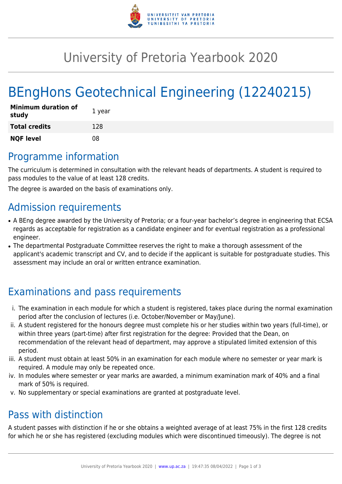

## University of Pretoria Yearbook 2020

# BEngHons Geotechnical Engineering (12240215)

| <b>Minimum duration of</b><br>study | 1 year |
|-------------------------------------|--------|
| <b>Total credits</b>                | 128    |
| <b>NQF level</b>                    | 08     |

## Programme information

The curriculum is determined in consultation with the relevant heads of departments. A student is required to pass modules to the value of at least 128 credits.

The degree is awarded on the basis of examinations only.

#### Admission requirements

- A BEng degree awarded by the University of Pretoria; or a four-year bachelor's degree in engineering that ECSA regards as acceptable for registration as a candidate engineer and for eventual registration as a professional engineer.
- The departmental Postgraduate Committee reserves the right to make a thorough assessment of the applicant's academic transcript and CV, and to decide if the applicant is suitable for postgraduate studies. This assessment may include an oral or written entrance examination.

## Examinations and pass requirements

- i. The examination in each module for which a student is registered, takes place during the normal examination period after the conclusion of lectures (i.e. October/November or May/June).
- ii. A student registered for the honours degree must complete his or her studies within two years (full-time), or within three years (part-time) after first registration for the degree: Provided that the Dean, on recommendation of the relevant head of department, may approve a stipulated limited extension of this period.
- iii. A student must obtain at least 50% in an examination for each module where no semester or year mark is required. A module may only be repeated once.
- iv. In modules where semester or year marks are awarded, a minimum examination mark of 40% and a final mark of 50% is required.
- v. No supplementary or special examinations are granted at postgraduate level.

## Pass with distinction

A student passes with distinction if he or she obtains a weighted average of at least 75% in the first 128 credits for which he or she has registered (excluding modules which were discontinued timeously). The degree is not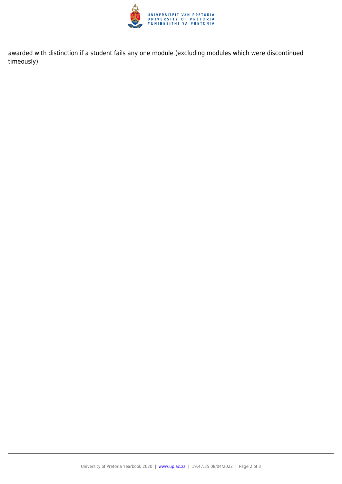

awarded with distinction if a student fails any one module (excluding modules which were discontinued timeously).